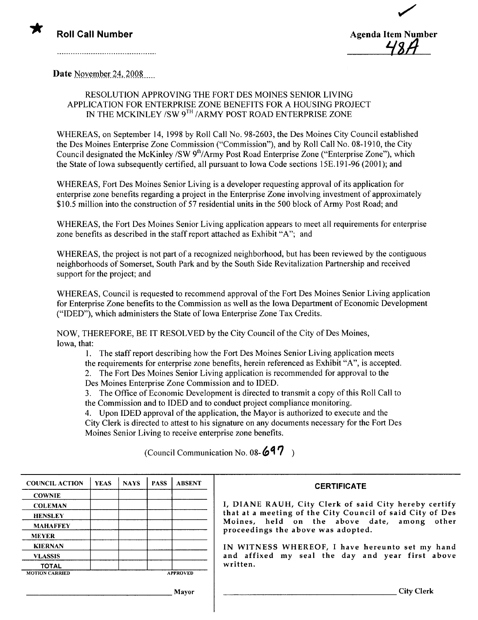



Date November 24, 2008

#### RESOLUTION APPROVING THE FORT DES MOINES SENIOR LIVING APPLICA TION FOR ENTERPRISE ZONE BENEFITS FOR A HOUSING PROJECT IN THE MCKINLEY /SW 9TH /ARMY POST ROAD ENTERPRISE ZONE

WHEREAS, on September 14, 1998 by Roll Call No. 98-2603, the Des Moines City Council established the Des Moines Enterprise Zone Commission ("Commission"), and by Roll Call No. 08-1910, the City Council designated the McKinley /SW 9<sup>th</sup>/Army Post Road Enterprise Zone ("Enterprise Zone"), which the State of Iowa subsequently certified, all pursuant to Iowa Code sections 15E.191-96 (2001); and

WHEREAS, Fort Des Moines Senior Living is a developer requesting approval of its application for enterprise zone benefits regarding a project in the Enterprise Zone involving investment of approximately \$10.5 million into the construction of 57 residential units in the 500 block of Army Post Road; and

WHEREAS, the Fort Des Moines Senior Living application appears to meet all requirements for enterprise zone benefits as described in the staff report attached as Exhibit "A"; and

WHEREAS, the project is not part of a recognized neighborhood, but has been reviewed by the contiguous neighborhoods of Somerset, South Park and by the South Side Revitalization Partnership and received support for the project; and

WHEREAS, Council is requested to recommend approval of the Fort Des Moines Senior Living application for Enterprise Zone benefits to the Commission as well as the Iowa Department of Economic Development ("IDED"), which administers the State of Iowa Enterprise Zone Tax Credits.

NOW, THEREFORE, BE IT RESOLVED by the City Council of the City of Des Moines, Iowa, that:

i. The staff report describing how the Fort Des Moines Senior Living application meets

the requirements for enterprise zone benefits, herein referenced as Exhibit "A", is accepted.

2. The Fort Des Moines Senior Living application is recommended for approval to the Des Moines Enterprise Zone Commission and to IDED.

3. The Office of Economic Development is directed to transmit a copy of this Roll Call to the Commission and to IDED and to conduct project compliance monitoring.

4. Upon IDED approval of the application, the Mayor is authorized to execute and the City Clerk is directed to attest to his signature on any documents necessary for the Fort Des Moines Senior Living to receive enterprise zone benefits.

(Council Communication No. 08- $697$ )

| <b>COUNCIL ACTION</b> | <b>YEAS</b>     | <b>NAYS</b> | <b>PASS</b> | <b>ABSENT</b> |
|-----------------------|-----------------|-------------|-------------|---------------|
| <b>COWNIE</b>         |                 |             |             |               |
| <b>COLEMAN</b>        |                 |             |             |               |
| <b>HENSLEY</b>        |                 |             |             |               |
| <b>MAHAFFEY</b>       |                 |             |             |               |
| <b>MEYER</b>          |                 |             |             |               |
| <b>KIERNAN</b>        |                 |             |             |               |
| <b>VLASSIS</b>        |                 |             |             |               |
| <b>TOTAL</b>          |                 |             |             |               |
| <b>MOTION CARRIED</b> | <b>APPROVED</b> |             |             |               |

#### **CERTIFICATE**

, DIANE RAUH, City Clerk of said City hereby certify hat at a meeting of the City Council of said City of Des Moines, held on the above date, among other proceedings the above was adopted.

IN WITNESS WHEREOF, I have hereunto set my hand and affixed my seal the day and year first above written.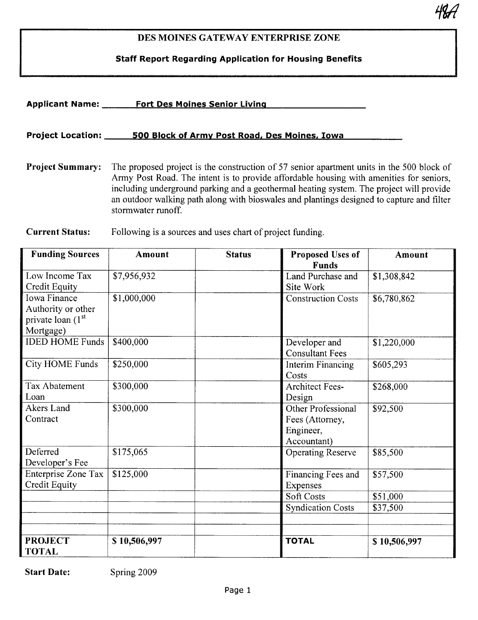# DES MOINES GATEWAY ENTERPRISE ZONE

4<mark>8</mark>77

Staff Report Regarding Application for Housing Benefits

| <b>Applicant Name:</b>   | <b>Fort Des Moines Senior Living</b>                                                                                                                                                                                                                                                                                                                                         |
|--------------------------|------------------------------------------------------------------------------------------------------------------------------------------------------------------------------------------------------------------------------------------------------------------------------------------------------------------------------------------------------------------------------|
| <b>Project Location:</b> | 500 Block of Army Post Road, Des Moines, Iowa                                                                                                                                                                                                                                                                                                                                |
| <b>Project Summary:</b>  | The proposed project is the construction of 57 senior apartment units in the 500 block of<br>Army Post Road. The intent is to provide affordable housing with amenities for seniors,<br>including underground parking and a geothermal heating system. The project will provide<br>an outdoor walking path along with bioswales and plantings designed to capture and filter |

Current Status: Following is a sources and uses chart of project funding.

stormwater runoff.

| <b>Funding Sources</b>        | Amount       | <b>Status</b> | <b>Proposed Uses of</b>   | Amount       |
|-------------------------------|--------------|---------------|---------------------------|--------------|
|                               |              |               | Funds                     |              |
| Low Income Tax                | \$7,956,932  |               | Land Purchase and         | \$1,308,842  |
| Credit Equity                 |              |               | Site Work                 |              |
| <b>Iowa Finance</b>           | \$1,000,000  |               | <b>Construction Costs</b> | \$6,780,862  |
| Authority or other            |              |               |                           |              |
| private loan (1 <sup>st</sup> |              |               |                           |              |
| Mortgage)                     |              |               |                           |              |
| <b>IDED HOME Funds</b>        | \$400,000    |               | Developer and             | \$1,220,000  |
|                               |              |               | <b>Consultant Fees</b>    |              |
| <b>City HOME Funds</b>        | \$250,000    |               | Interim Financing         | \$605,293    |
|                               |              |               | Costs                     |              |
| <b>Tax Abatement</b>          | \$300,000    |               | <b>Architect Fees-</b>    | \$268,000    |
| Loan                          |              |               | Design                    |              |
| Akers Land                    | \$300,000    |               | Other Professional        | \$92,500     |
| Contract                      |              |               | Fees (Attorney,           |              |
|                               |              |               | Engineer,                 |              |
|                               |              |               | Accountant)               |              |
| Deferred                      | \$175,065    |               | <b>Operating Reserve</b>  | \$85,500     |
| Developer's Fee               |              |               |                           |              |
| Enterprise Zone Tax           | \$125,000    |               | Financing Fees and        | \$57,500     |
| Credit Equity                 |              |               | Expenses                  |              |
|                               |              |               | <b>Soft Costs</b>         | \$51,000     |
|                               |              |               | <b>Syndication Costs</b>  | \$37,500     |
|                               |              |               |                           |              |
|                               |              |               |                           |              |
| <b>PROJECT</b>                | \$10,506,997 |               | <b>TOTAL</b>              | \$10,506,997 |
| <b>TOTAL</b>                  |              |               |                           |              |